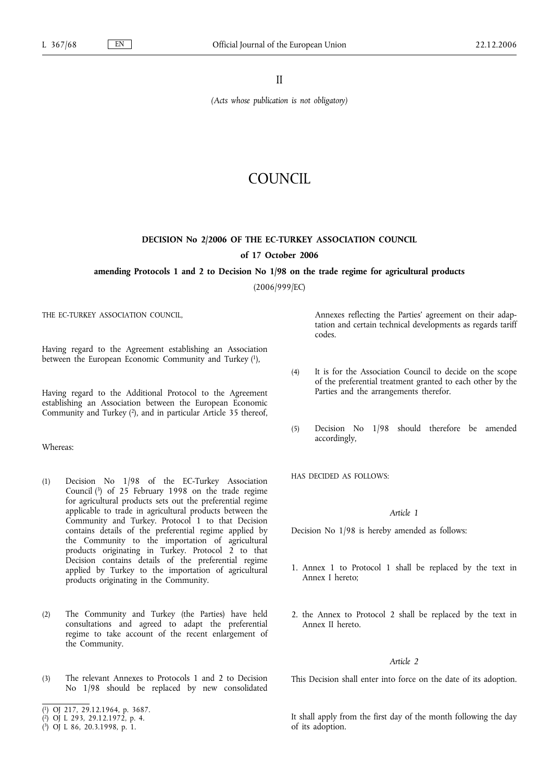II

*(Acts whose publication is not obligatory)*

## COUNCIL

# **DECISION No 2/2006 OF THE EC-TURKEY ASSOCIATION COUNCIL**

## **of 17 October 2006**

## **amending Protocols 1 and 2 to Decision No 1/98 on the trade regime for agricultural products**

(2006/999/EC)

THE EC-TURKEY ASSOCIATION COUNCIL,

Having regard to the Agreement establishing an Association between the European Economic Community and Turkey (1),

Having regard to the Additional Protocol to the Agreement establishing an Association between the European Economic Community and Turkey (2), and in particular Article 35 thereof,

## Whereas:

- (1) Decision No 1/98 of the EC-Turkey Association Council (3) of 25 February 1998 on the trade regime for agricultural products sets out the preferential regime applicable to trade in agricultural products between the Community and Turkey. Protocol 1 to that Decision contains details of the preferential regime applied by the Community to the importation of agricultural products originating in Turkey. Protocol 2 to that Decision contains details of the preferential regime applied by Turkey to the importation of agricultural products originating in the Community.
- (2) The Community and Turkey (the Parties) have held consultations and agreed to adapt the preferential regime to take account of the recent enlargement of the Community.
- (3) The relevant Annexes to Protocols 1 and 2 to Decision No 1/98 should be replaced by new consolidated

Annexes reflecting the Parties' agreement on their adaptation and certain technical developments as regards tariff codes.

- (4) It is for the Association Council to decide on the scope of the preferential treatment granted to each other by the Parties and the arrangements therefor.
- (5) Decision No 1/98 should therefore be amended accordingly,

HAS DECIDED AS FOLLOWS:

## *Article 1*

Decision No 1/98 is hereby amended as follows:

- 1. Annex 1 to Protocol 1 shall be replaced by the text in Annex I hereto;
- 2. the Annex to Protocol 2 shall be replaced by the text in Annex II hereto.

#### *Article 2*

This Decision shall enter into force on the date of its adoption.

It shall apply from the first day of the month following the day of its adoption.

<sup>(</sup> 1) OJ 217, 29.12.1964, p. 3687.

<sup>(</sup> 2) OJ L 293, 29.12.1972, p. 4.

<sup>(</sup> 3) OJ L 86, 20.3.1998, p. 1.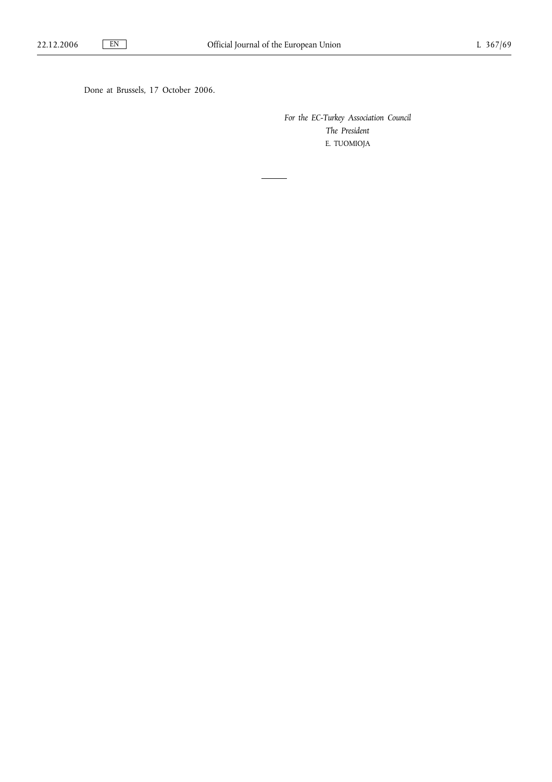Done at Brussels, 17 October 2006.

*For the EC-Turkey Association Council The President* E. TUOMIOJA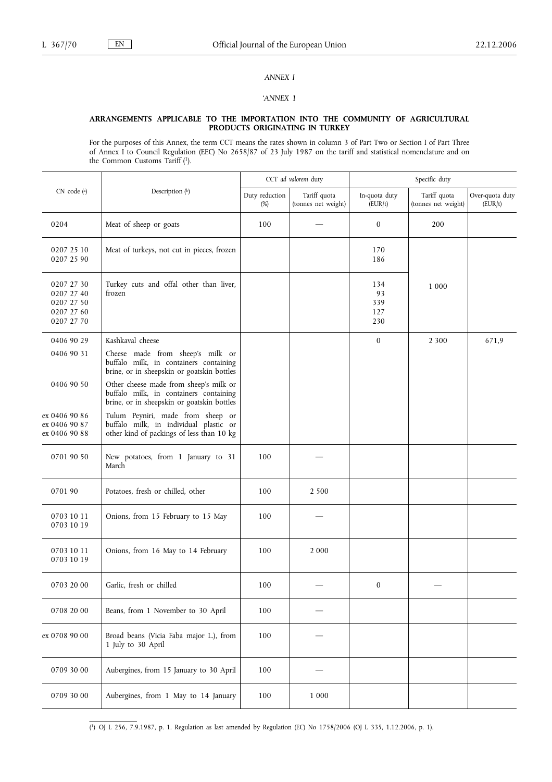## *ANNEX I*

## *'ANNEX 1*

#### **ARRANGEMENTS APPLICABLE TO THE IMPORTATION INTO THE COMMUNITY OF AGRICULTURAL PRODUCTS ORIGINATING IN TURKEY**

For the purposes of this Annex, the term CCT means the rates shown in column 3 of Part Two or Section I of Part Three of Annex I to Council Regulation (EEC) No 2658/87 of 23 July 1987 on the tariff and statistical nomenclature and on the Common Customs Tariff (1).

|                                                                    |                                                                                                                                | CCT ad valorem duty   |                                     | Specific duty                  |                                     |                            |
|--------------------------------------------------------------------|--------------------------------------------------------------------------------------------------------------------------------|-----------------------|-------------------------------------|--------------------------------|-------------------------------------|----------------------------|
| CN code (a)                                                        | Description $(^{b})$                                                                                                           | Duty reduction<br>(%) | Tariff quota<br>(tonnes net weight) | In-quota duty<br>(EUR/t)       | Tariff quota<br>(tonnes net weight) | Over-quota duty<br>(EUR/t) |
| 0204                                                               | Meat of sheep or goats                                                                                                         | 100                   |                                     | $\boldsymbol{0}$               | 200                                 |                            |
| 0207 25 10<br>0207 25 90                                           | Meat of turkeys, not cut in pieces, frozen                                                                                     |                       |                                     | 170<br>186                     |                                     |                            |
| 0207 27 30<br>0207 27 40<br>0207 27 50<br>0207 27 60<br>0207 27 70 | Turkey cuts and offal other than liver,<br>frozen                                                                              |                       |                                     | 134<br>93<br>339<br>127<br>230 | 1 0 0 0                             |                            |
| 0406 90 29                                                         | Kashkaval cheese                                                                                                               |                       |                                     | $\boldsymbol{0}$               | 2 3 0 0                             | 671,9                      |
| 0406 90 31                                                         | Cheese made from sheep's milk or<br>buffalo milk, in containers containing<br>brine, or in sheepskin or goatskin bottles       |                       |                                     |                                |                                     |                            |
| 0406 90 50                                                         | Other cheese made from sheep's milk or<br>buffalo milk, in containers containing<br>brine, or in sheepskin or goatskin bottles |                       |                                     |                                |                                     |                            |
| ex 0406 90 86<br>ex 0406 90 87<br>ex 0406 90 88                    | Tulum Peyniri, made from sheep or<br>buffalo milk, in individual plastic or<br>other kind of packings of less than 10 kg       |                       |                                     |                                |                                     |                            |
| 0701 90 50                                                         | New potatoes, from 1 January to 31<br>March                                                                                    | 100                   |                                     |                                |                                     |                            |
| 070190                                                             | Potatoes, fresh or chilled, other                                                                                              | 100                   | 2 500                               |                                |                                     |                            |
| 0703 10 11<br>0703 10 19                                           | Onions, from 15 February to 15 May                                                                                             | 100                   |                                     |                                |                                     |                            |
| 0703 10 11<br>0703 10 19                                           | Onions, from 16 May to 14 February                                                                                             | 100                   | 2 0 0 0                             |                                |                                     |                            |
| 0703 20 00                                                         | Garlic, fresh or chilled                                                                                                       | 100                   |                                     | 0                              |                                     |                            |
| 0708 20 00                                                         | Beans, from 1 November to 30 April                                                                                             | 100                   |                                     |                                |                                     |                            |
| ex 0708 90 00                                                      | Broad beans (Vicia Faba major L.), from<br>1 July to 30 April                                                                  | 100                   |                                     |                                |                                     |                            |
| 0709 30 00                                                         | Aubergines, from 15 January to 30 April                                                                                        | 100                   |                                     |                                |                                     |                            |
| 0709 30 00                                                         | Aubergines, from 1 May to 14 January                                                                                           | 100                   | 1 0 0 0                             |                                |                                     |                            |

( 1) OJ L 256, 7.9.1987, p. 1. Regulation as last amended by Regulation (EC) No 1758/2006 (OJ L 335, 1.12.2006, p. 1).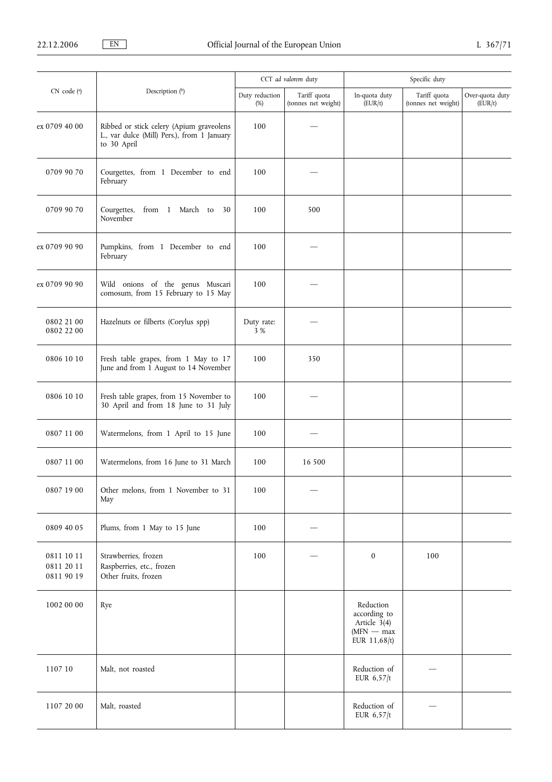|                                        |                                                                                                        | CCT ad valorem duty      |                                     | Specific duty                                                                 |                                     |                            |
|----------------------------------------|--------------------------------------------------------------------------------------------------------|--------------------------|-------------------------------------|-------------------------------------------------------------------------------|-------------------------------------|----------------------------|
| CN code (a)                            | Description (b)                                                                                        | Duty reduction<br>$(\%)$ | Tariff quota<br>(tonnes net weight) | In-quota duty<br>(EUR/t)                                                      | Tariff quota<br>(tonnes net weight) | Over-quota duty<br>(EUR/t) |
| ex 0709 40 00                          | Ribbed or stick celery (Apium graveolens<br>L., var dulce (Mill) Pers.), from 1 January<br>to 30 April | 100                      |                                     |                                                                               |                                     |                            |
| 0709 90 70                             | Courgettes, from 1 December to end<br>February                                                         | 100                      |                                     |                                                                               |                                     |                            |
| 0709 90 70                             | Courgettes,<br>from 1 March to 30<br>November                                                          | 100                      | 500                                 |                                                                               |                                     |                            |
| ex 0709 90 90                          | Pumpkins, from 1 December to end<br>February                                                           | 100                      |                                     |                                                                               |                                     |                            |
| ex 0709 90 90                          | Wild onions of the genus Muscari<br>comosum, from 15 February to 15 May                                | 100                      |                                     |                                                                               |                                     |                            |
| 0802 21 00<br>0802 22 00               | Hazelnuts or filberts (Corylus spp)                                                                    | Duty rate:<br>3 %        |                                     |                                                                               |                                     |                            |
| 0806 10 10                             | Fresh table grapes, from 1 May to 17<br>June and from 1 August to 14 November                          | 100                      | 350                                 |                                                                               |                                     |                            |
| 0806 10 10                             | Fresh table grapes, from 15 November to<br>30 April and from 18 June to 31 July                        | 100                      |                                     |                                                                               |                                     |                            |
| 0807 11 00                             | Watermelons, from 1 April to 15 June                                                                   | 100                      |                                     |                                                                               |                                     |                            |
| 0807 11 00                             | Watermelons, from 16 June to 31 March                                                                  | 100                      | 16 500                              |                                                                               |                                     |                            |
| 0807 19 00                             | Other melons, from 1 November to 31<br>May                                                             | 100                      |                                     |                                                                               |                                     |                            |
| 0809 40 05                             | Plums, from 1 May to 15 June                                                                           | 100                      |                                     |                                                                               |                                     |                            |
| 0811 10 11<br>0811 20 11<br>0811 90 19 | Strawberries, frozen<br>Raspberries, etc., frozen<br>Other fruits, frozen                              | 100                      |                                     | $\bf{0}$                                                                      | 100                                 |                            |
| 1002 00 00                             | Rye                                                                                                    |                          |                                     | Reduction<br>according to<br>Article $3(4)$<br>$(MFN - max)$<br>EUR $11,68/t$ |                                     |                            |
| 1107 10                                | Malt, not roasted                                                                                      |                          |                                     | Reduction of<br>EUR $6,57/t$                                                  |                                     |                            |
| 1107 20 00                             | Malt, roasted                                                                                          |                          |                                     | Reduction of<br>EUR $6,57/t$                                                  |                                     |                            |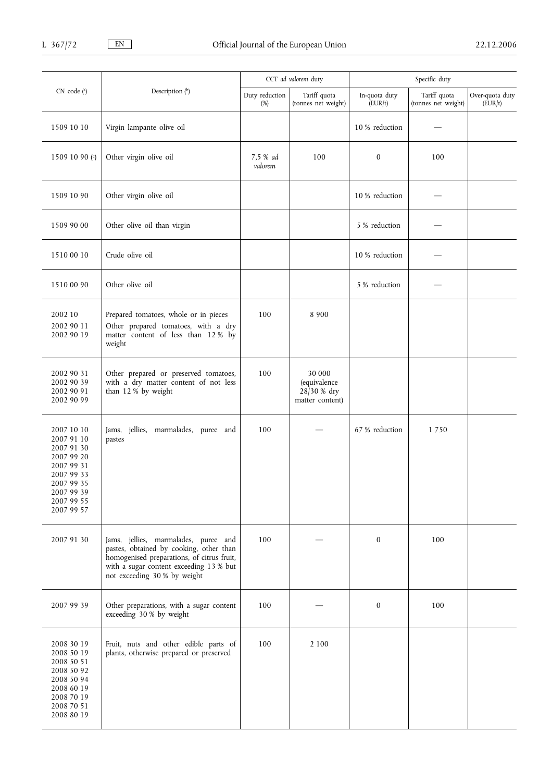|                                                                                                                                          |                                                                                                                                                                                                          | CCT ad valorem duty      |                                                          | Specific duty            |                                     |                            |
|------------------------------------------------------------------------------------------------------------------------------------------|----------------------------------------------------------------------------------------------------------------------------------------------------------------------------------------------------------|--------------------------|----------------------------------------------------------|--------------------------|-------------------------------------|----------------------------|
| CN code (a)                                                                                                                              | Description (b)                                                                                                                                                                                          | Duty reduction<br>$(\%)$ | Tariff quota<br>(tonnes net weight)                      | In-quota duty<br>(EUR/t) | Tariff quota<br>(tonnes net weight) | Over-quota duty<br>(EUR/t) |
| 1509 10 10                                                                                                                               | Virgin lampante olive oil                                                                                                                                                                                |                          |                                                          | 10 % reduction           |                                     |                            |
| 1509 10 90 $\binom{c}{2}$                                                                                                                | Other virgin olive oil                                                                                                                                                                                   | 7.5 % ad<br>valorem      | 100                                                      | $\boldsymbol{0}$         | 100                                 |                            |
| 1509 10 90                                                                                                                               | Other virgin olive oil                                                                                                                                                                                   |                          |                                                          | 10 % reduction           |                                     |                            |
| 1509 90 00                                                                                                                               | Other olive oil than virgin                                                                                                                                                                              |                          |                                                          | 5 % reduction            |                                     |                            |
| 1510 00 10                                                                                                                               | Crude olive oil                                                                                                                                                                                          |                          |                                                          | 10 % reduction           |                                     |                            |
| 1510 00 90                                                                                                                               | Other olive oil                                                                                                                                                                                          |                          |                                                          | 5 % reduction            |                                     |                            |
| 2002 10<br>2002 90 11<br>2002 90 19                                                                                                      | Prepared tomatoes, whole or in pieces<br>Other prepared tomatoes, with a dry<br>matter content of less than 12% by<br>weight                                                                             | 100                      | 8 9 0 0                                                  |                          |                                     |                            |
| 2002 90 31<br>2002 90 39<br>2002 90 91<br>2002 90 99                                                                                     | Other prepared or preserved tomatoes,<br>with a dry matter content of not less<br>than 12 % by weight                                                                                                    | 100                      | 30 000<br>(equivalence<br>28/30 % dry<br>matter content) |                          |                                     |                            |
| 2007 10 10<br>2007 91 10<br>2007 91 30<br>2007 99 20<br>2007 99 31<br>2007 99 33<br>2007 99 35<br>2007 99 39<br>2007 99 55<br>2007 99 57 | Jams, jellies, marmalades, puree and<br>pastes                                                                                                                                                           | 100                      |                                                          | 67 % reduction           | 1750                                |                            |
| 2007 91 30                                                                                                                               | Jams, jellies, marmalades, puree and<br>pastes, obtained by cooking, other than<br>homogenised preparations, of citrus fruit,<br>with a sugar content exceeding 13 % but<br>not exceeding 30 % by weight | 100                      |                                                          | $\mathbf{0}$             | 100                                 |                            |
| 2007 99 39                                                                                                                               | Other preparations, with a sugar content<br>exceeding 30 % by weight                                                                                                                                     | 100                      |                                                          | $\boldsymbol{0}$         | 100                                 |                            |
| 2008 30 19<br>2008 50 19<br>2008 50 51<br>2008 50 92<br>2008 50 94<br>2008 60 19<br>2008 70 19<br>2008 70 51<br>2008 80 19               | Fruit, nuts and other edible parts of<br>plants, otherwise prepared or preserved                                                                                                                         | 100                      | 2 1 0 0                                                  |                          |                                     |                            |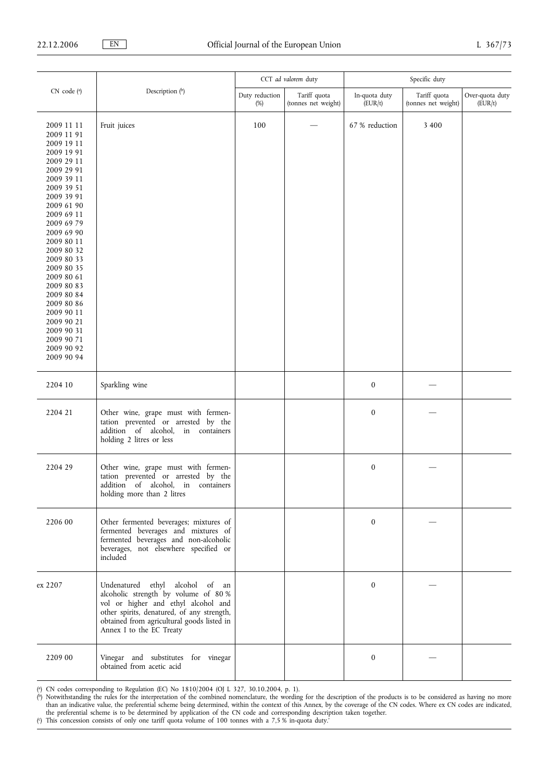|                                                                                                                                                                                                                                                                                                                                                                                        | CCT ad valorem duty                                                                                                                                                                                                                    |                       |                                     | Specific duty            |                                     |                            |  |
|----------------------------------------------------------------------------------------------------------------------------------------------------------------------------------------------------------------------------------------------------------------------------------------------------------------------------------------------------------------------------------------|----------------------------------------------------------------------------------------------------------------------------------------------------------------------------------------------------------------------------------------|-----------------------|-------------------------------------|--------------------------|-------------------------------------|----------------------------|--|
| CN code (a)                                                                                                                                                                                                                                                                                                                                                                            | Description (b)                                                                                                                                                                                                                        | Duty reduction<br>(%) | Tariff quota<br>(tonnes net weight) | In-quota duty<br>(EUR/t) | Tariff quota<br>(tonnes net weight) | Over-quota duty<br>(EUR/t) |  |
| 2009 11 11<br>2009 11 91<br>2009 19 11<br>2009 19 91<br>2009 29 11<br>2009 29 91<br>2009 39 11<br>2009 39 51<br>2009 39 91<br>2009 61 90<br>2009 69 11<br>2009 69 79<br>2009 69 90<br>2009 80 11<br>2009 80 32<br>2009 80 33<br>2009 80 35<br>2009 80 61<br>2009 80 83<br>2009 80 84<br>2009 80 86<br>2009 90 11<br>2009 90 21<br>2009 90 31<br>2009 90 71<br>2009 90 92<br>2009 90 94 | Fruit juices                                                                                                                                                                                                                           | 100                   |                                     | 67 % reduction           | 3 4 0 0                             |                            |  |
| 2204 10                                                                                                                                                                                                                                                                                                                                                                                | Sparkling wine                                                                                                                                                                                                                         |                       |                                     | $\boldsymbol{0}$         |                                     |                            |  |
| 2204 21                                                                                                                                                                                                                                                                                                                                                                                | Other wine, grape must with fermen-<br>tation prevented or arrested by the<br>addition of alcohol,<br>in<br>containers<br>holding 2 litres or less                                                                                     |                       |                                     | $\boldsymbol{0}$         |                                     |                            |  |
| 2204 29                                                                                                                                                                                                                                                                                                                                                                                | Other wine, grape must with fermen-<br>tation prevented or arrested by the<br>addition of alcohol, in containers<br>holding more than 2 litres                                                                                         |                       |                                     | $\boldsymbol{0}$         |                                     |                            |  |
| 2206 00                                                                                                                                                                                                                                                                                                                                                                                | Other fermented beverages; mixtures of<br>fermented beverages and mixtures of<br>fermented beverages and non-alcoholic<br>beverages, not elsewhere specified or<br>included                                                            |                       |                                     | $\mathbf{0}$             |                                     |                            |  |
| ex 2207                                                                                                                                                                                                                                                                                                                                                                                | Undenatured ethyl alcohol of an<br>alcoholic strength by volume of 80 %<br>vol or higher and ethyl alcohol and<br>other spirits, denatured, of any strength,<br>obtained from agricultural goods listed in<br>Annex I to the EC Treaty |                       |                                     | $\boldsymbol{0}$         |                                     |                            |  |
| 2209 00                                                                                                                                                                                                                                                                                                                                                                                | Vinegar and substitutes for vinegar<br>obtained from acetic acid                                                                                                                                                                       |                       |                                     | $\boldsymbol{0}$         |                                     |                            |  |

( a ) CN codes corresponding to Regulation (EC) No 1810/2004 (OJ L 327, 30.10.2004, p. 1).

( b) Notwithstanding the rules for the interpretation of the combined nomenclature, the wording for the description of the products is to be considered as having no more than an indicative value, the preferential scheme being determined, within the context of this Annex, by the coverage of the CN codes. Where ex CN codes are indicated, the preferential scheme is to be determined by application of the CN code and corresponding description taken together.

( c ) This concession consists of only one tariff quota volume of 100 tonnes with a 7,5 % in-quota duty.'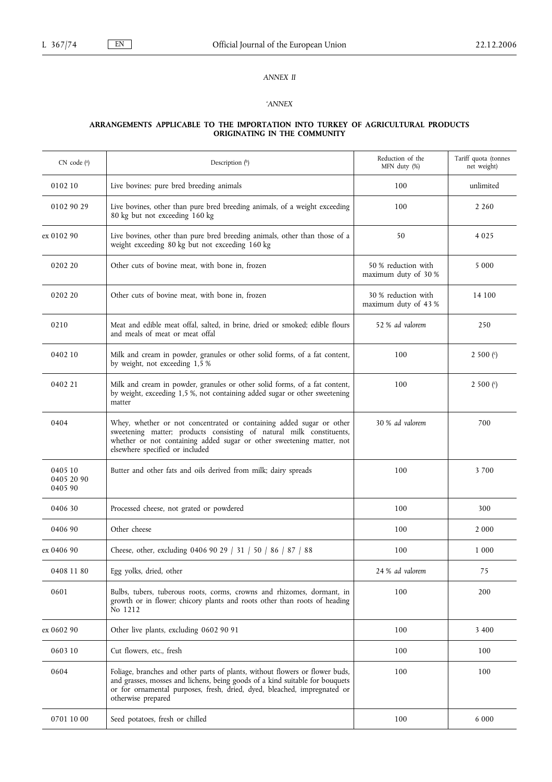## *ANNEX II*

## *'ANNEX*

#### **ARRANGEMENTS APPLICABLE TO THE IMPORTATION INTO TURKEY OF AGRICULTURAL PRODUCTS ORIGINATING IN THE COMMUNITY**

| $CN$ code $(^{a})$               | Description $(^{b})$                                                                                                                                                                                                                                           | Reduction of the<br>MFN duty (%)            | Tariff quota (tonnes<br>net weight) |
|----------------------------------|----------------------------------------------------------------------------------------------------------------------------------------------------------------------------------------------------------------------------------------------------------------|---------------------------------------------|-------------------------------------|
| 0102 10                          | Live bovines: pure bred breeding animals                                                                                                                                                                                                                       | 100                                         | unlimited                           |
| 0102 90 29                       | Live bovines, other than pure bred breeding animals, of a weight exceeding<br>80 kg but not exceeding 160 kg                                                                                                                                                   | 100                                         | 2 2 6 0                             |
| ex 0102 90                       | Live bovines, other than pure bred breeding animals, other than those of a<br>weight exceeding 80 kg but not exceeding 160 kg                                                                                                                                  | 50                                          | 4 0 2 5                             |
| 0202 20                          | Other cuts of bovine meat, with bone in, frozen                                                                                                                                                                                                                | 50 % reduction with<br>maximum duty of 30 % | 5 0 0 0                             |
| 0202 20                          | Other cuts of bovine meat, with bone in, frozen                                                                                                                                                                                                                | 30 % reduction with<br>maximum duty of 43 % | 14 100                              |
| 0210                             | Meat and edible meat offal, salted, in brine, dried or smoked; edible flours<br>and meals of meat or meat offal                                                                                                                                                | 52 % ad valorem                             | 250                                 |
| 0402 10                          | Milk and cream in powder, granules or other solid forms, of a fat content,<br>by weight, not exceeding 1,5 %                                                                                                                                                   | 100                                         | 2 500 $($ ° $)$                     |
| 0402 21                          | Milk and cream in powder, granules or other solid forms, of a fat content,<br>by weight, exceeding 1,5 %, not containing added sugar or other sweetening<br>matter                                                                                             | 100                                         | 2 500 $(c)$                         |
| 0404                             | Whey, whether or not concentrated or containing added sugar or other<br>sweetening matter; products consisting of natural milk constituents,<br>whether or not containing added sugar or other sweetening matter, not<br>elsewhere specified or included       | 30 % ad valorem                             | 700                                 |
| 0405 10<br>0405 20 90<br>0405 90 | Butter and other fats and oils derived from milk; dairy spreads                                                                                                                                                                                                | 100                                         | 3700                                |
| 0406 30                          | Processed cheese, not grated or powdered                                                                                                                                                                                                                       | 100                                         | 300                                 |
| 0406 90                          | Other cheese                                                                                                                                                                                                                                                   | 100                                         | 2 0 0 0                             |
| ex 0406 90                       | Cheese, other, excluding 0406 90 29   31   50   86   87   88                                                                                                                                                                                                   | 100                                         | 1 0 0 0                             |
| 0408 11 80                       | Egg yolks, dried, other                                                                                                                                                                                                                                        | 24 % ad valorem                             | 75                                  |
| 0601                             | Bulbs, tubers, tuberous roots, corms, crowns and rhizomes, dormant, in<br>growth or in flower; chicory plants and roots other than roots of heading<br>No 1212                                                                                                 | 100                                         | 200                                 |
| ex 0602 90                       | Other live plants, excluding 0602 90 91                                                                                                                                                                                                                        | 100                                         | 3 4 0 0                             |
| 0603 10                          | Cut flowers, etc., fresh                                                                                                                                                                                                                                       | 100                                         | 100                                 |
| 0604                             | Foliage, branches and other parts of plants, without flowers or flower buds,<br>and grasses, mosses and lichens, being goods of a kind suitable for bouquets<br>or for ornamental purposes, fresh, dried, dyed, bleached, impregnated or<br>otherwise prepared | 100                                         | 100                                 |
| 0701 10 00                       | Seed potatoes, fresh or chilled                                                                                                                                                                                                                                | 100                                         | 6 0 0 0                             |
|                                  |                                                                                                                                                                                                                                                                |                                             |                                     |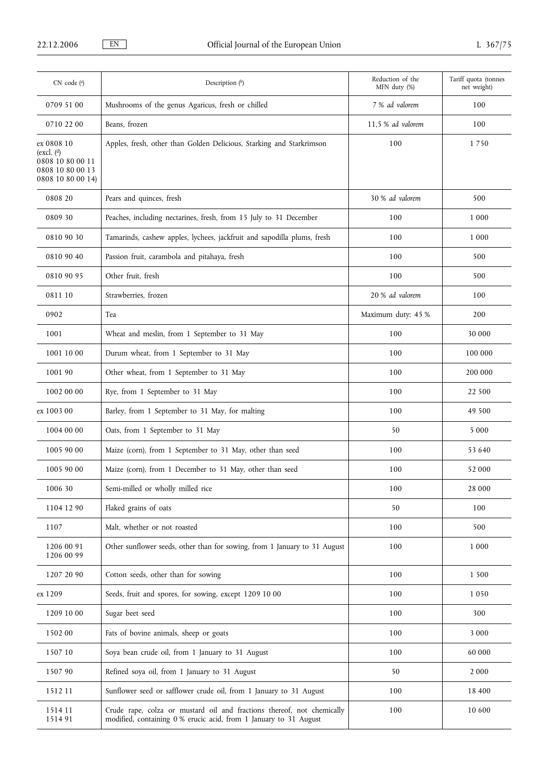| $CN$ code $(a)$                                                                                  | Description (b)                                                                                                                             | Reduction of the<br>MFN duty (%) | Tariff quota (tonnes<br>net weight) |
|--------------------------------------------------------------------------------------------------|---------------------------------------------------------------------------------------------------------------------------------------------|----------------------------------|-------------------------------------|
| 0709 51 00                                                                                       | Mushrooms of the genus Agaricus, fresh or chilled                                                                                           | 7 % ad valorem                   | 100                                 |
| 0710 22 00                                                                                       | Beans, frozen                                                                                                                               | 11,5 % ad valorem                | 100                                 |
| ex 0808 10<br>(excl. $\binom{d}{ }$<br>0808 10 80 00 11<br>0808 10 80 00 13<br>0808 10 80 00 14) | Apples, fresh, other than Golden Delicious, Starking and Starkrimson                                                                        | 100                              | 1750                                |
| 0808 20                                                                                          | Pears and quinces, fresh                                                                                                                    | 30 % ad valorem                  | 500                                 |
| 0809 30                                                                                          | Peaches, including nectarines, fresh, from 15 July to 31 December                                                                           | 100                              | 1 0 0 0                             |
| 0810 90 30                                                                                       | Tamarinds, cashew apples, lychees, jackfruit and sapodilla plums, fresh                                                                     | 100                              | 1 000                               |
| 0810 90 40                                                                                       | Passion fruit, carambola and pitahaya, fresh                                                                                                | 100                              | 500                                 |
| 0810 90 95                                                                                       | Other fruit, fresh                                                                                                                          | 100                              | 500                                 |
| 0811 10                                                                                          | Strawberries, frozen                                                                                                                        | 20 % ad valorem                  | 100                                 |
| 0902                                                                                             | Tea                                                                                                                                         | Maximum duty: 45 %               | 200                                 |
| 1001                                                                                             | Wheat and meslin, from 1 September to 31 May                                                                                                | 100                              | 30 000                              |
| 1001 10 00                                                                                       | Durum wheat, from 1 September to 31 May                                                                                                     | 100                              | 100 000                             |
| 1001 90                                                                                          | Other wheat, from 1 September to 31 May                                                                                                     | 100                              | 200 000                             |
| 1002 00 00                                                                                       | Rye, from 1 September to 31 May                                                                                                             | 100                              | 22 500                              |
| ex 1003 00                                                                                       | Barley, from 1 September to 31 May, for malting                                                                                             | 100                              | 49 500                              |
| 1004 00 00                                                                                       | Oats, from 1 September to 31 May                                                                                                            | 50                               | 5 0 0 0                             |
| 1005 90 00                                                                                       | Maize (corn), from 1 September to 31 May, other than seed                                                                                   | 100                              | 53 640                              |
| 1005 90 00                                                                                       | Maize (corn), from 1 December to 31 May, other than seed                                                                                    | 100                              | 52 000                              |
| 1006 30                                                                                          | Semi-milled or wholly milled rice                                                                                                           | 100                              | 28 000                              |
| 1104 12 90                                                                                       | Flaked grains of oats                                                                                                                       | 50                               | 100                                 |
| 1107                                                                                             | Malt, whether or not roasted                                                                                                                | 100                              | 500                                 |
| 1206 00 91<br>1206 00 99                                                                         | Other sunflower seeds, other than for sowing, from 1 January to 31 August                                                                   | 100                              | 1 000                               |
| 1207 20 90                                                                                       | Cotton seeds, other than for sowing                                                                                                         | 100                              | 1 500                               |
| ex 1209                                                                                          | Seeds, fruit and spores, for sowing, except 1209 10 00                                                                                      | 100                              | 1 0 5 0                             |
| 1209 10 00                                                                                       | Sugar beet seed                                                                                                                             | 100                              | 300                                 |
| 1502 00                                                                                          | Fats of bovine animals, sheep or goats                                                                                                      | 100                              | 3 0 0 0                             |
| 1507 10                                                                                          | Soya bean crude oil, from 1 January to 31 August                                                                                            | 100                              | 60 000                              |
| 1507 90                                                                                          | Refined soya oil, from 1 January to 31 August                                                                                               | 50                               | 2 000                               |
| 1512 11                                                                                          | Sunflower seed or safflower crude oil, from 1 January to 31 August                                                                          | 100                              | 18 400                              |
| 1514 11<br>151491                                                                                | Crude rape, colza or mustard oil and fractions thereof, not chemically<br>modified, containing 0 % erucic acid, from 1 January to 31 August | 100                              | 10 600                              |